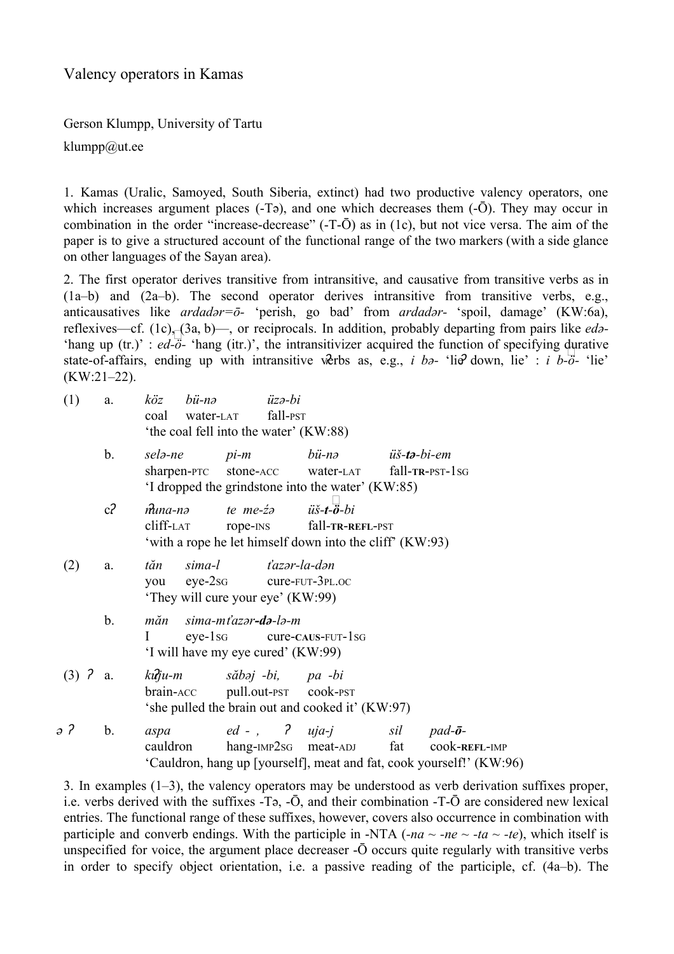Valency operators in Kamas

Gerson Klumpp, University of Tartu

klumpp@ut.ee

1. Kamas (Uralic, Samoyed, South Siberia, extinct) had two productive valency operators, one which increases argument places  $(-T\vartheta)$ , and one which decreases them  $(-\bar{O})$ . They may occur in combination in the order "increase-decrease"  $(-T-\overline{O})$  as in  $(1c)$ , but not vice versa. The aim of the paper is to give a structured account of the functional range of the two markers (with a side glance on other languages of the Sayan area).

2. The first operator derives transitive from intransitive, and causative from transitive verbs as in (1a–b) and (2a–b). The second operator derives intransitive from transitive verbs, e.g., anticausatives like *ardadər*=ō- 'perish, go bad' from *ardadər*- 'spoil, damage' (KW:6a), reflexives—cf. (1c), (3a, b)—, or reciprocals. In addition, probably departing from pairs like *edә*  $e^{i\theta}$  (i.e.)<sup>{1}</sup> : *ed-ö-* 'hang (itr.)', the intransitivizer acquired the function of specifying durative thang up (tr.)' : *ed-ö-* 'hang (itr.)', the intransitivizer acquired the function of specifying durative state-of-affairs, ending up with intransitive verbs as, e.g., *i ba*- 'lie' down, lie' : *i b*- $\ddot{o}$ - 'lie'  $(KW:21-22)$ .

| (1)                   | a.             | köz<br>bü-nə<br>coal<br>water-LAT<br>'the coal fell into the water' (KW:88)                                               |                                       | $\ddot{u}z$ ə-bi<br>fall-PST |                                                                                       |                               |                                                                                                              |
|-----------------------|----------------|---------------------------------------------------------------------------------------------------------------------------|---------------------------------------|------------------------------|---------------------------------------------------------------------------------------|-------------------------------|--------------------------------------------------------------------------------------------------------------|
|                       | $\mathbf b$ .  | selə-ne<br>sharpen-PTC stone-ACC                                                                                          | $pi-m$                                |                              | bü-nə<br>water-LAT<br>'I dropped the grindstone into the water' (KW:85)               | üš <b>-tə-</b> bi <b>-</b> em | fall-TR-PST-1sG                                                                                              |
|                       | c <sub>2</sub> | muna-nə<br>cliff-LAT                                                                                                      | te me- <i>ż</i> a iiš- <b>t-ö</b> -bi |                              | rope-INS fall-TR-REFL-PST<br>'with a rope he let himself down into the cliff' (KW:93) |                               |                                                                                                              |
| (2)                   | a.             | sima-l<br>t'azər-la-dən<br>tăn<br>$eye-2sg$ $cure$ - $FUT-3PL.OC$<br>you<br>'They will cure your eye' (KW:99)             |                                       |                              |                                                                                       |                               |                                                                                                              |
|                       | $\mathbf b$ .  | sima-mťazər <b>-də</b> -lə-m<br>măn<br>$eye-1sg$<br>$cure$ - $caus$ - $FUT$ - $1sg$<br>'I will have my eye cured' (KW:99) |                                       |                              |                                                                                       |                               |                                                                                                              |
| $(3)$ ? a.            |                | kuju-m<br>brain-ACC pull.out-PST cook-PST                                                                                 | săbəj -bi, pa -bi                     |                              | 'she pulled the brain out and cooked it' (KW:97)                                      |                               |                                                                                                              |
| $\partial$ $\partial$ | $b$ .          | aspa<br>cauldron                                                                                                          |                                       |                              | $ed -$ , $\begin{array}{ccc} 2 & uja-j \end{array}$<br>hang-IMP2sG meat-ADJ           | sil<br>fat                    | $pad$ - $\bar{o}$ -<br>COOK-REFL-IMP<br>'Cauldron, hang up [yourself], meat and fat, cook yourself!' (KW:96) |

3. In examples (1–3), the valency operators may be understood as verb derivation suffixes proper, i.e. verbs derived with the suffixes  $-Ta$ ,  $-\bar{O}$ , and their combination  $-T-\bar{O}$  are considered new lexical entries. The functional range of these suffixes, however, covers also occurrence in combination with participle and converb endings. With the participle in -NTA (*-na*  $\sim$  *-ne*  $\sim$  *-ta*  $\sim$  *-te*), which itself is unspecified for voice, the argument place decreaser  $-\bar{O}$  occurs quite regularly with transitive verbs in order to specify object orientation, i.e. a passive reading of the participle, cf. (4a–b). The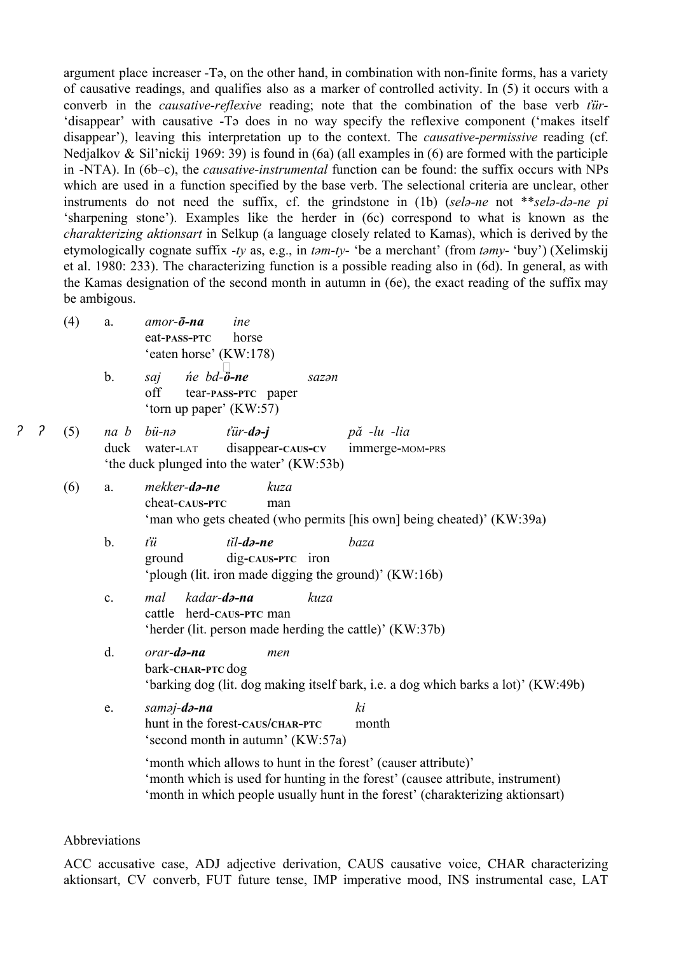argument place increaser Tә, on the other hand, in combination with nonfinite forms, has a variety of causative readings, and qualifies also as a marker of controlled activity. In (5) it occurs with a converb in the *causative-reflexive* reading; note that the combination of the base verb *ťür-*'disappear' with causative Tә does in no way specify the reflexive component ('makes itself disappear'), leaving this interpretation up to the context. The *causative-permissive* reading (cf. Nedjalkov & Sil'nickij 1969: 39) is found in (6a) (all examples in (6) are formed with the participle in -NTA). In (6b–c), the *causative-instrumental* function can be found: the suffix occurs with NPs which are used in a function specified by the base verb. The selectional criteria are unclear, other instruments do not need the suffix, cf. the grindstone in (1b) (*sel*<sub>a</sub>-ne not \*\**sel*a-da-ne *pi* 'sharpening stone'). Examples like the herder in (6c) correspond to what is known as the *charakterizing aktionsart* in Selkup (a language closely related to Kamas), which is derived by the etymologically cognate suffix *ty* as, e.g., in *tәmty* 'be a merchant' (from *tәmy* 'buy') (Xelimskij et al. 1980: 233). The characterizing function is a possible reading also in (6d). In general, as with the Kamas designation of the second month in autumn in (6e), the exact reading of the suffix may be ambigous.

- (4) a. *amorōna ine* eat**PASSPTC** horse 'eaten horse' (KW:178)
- b. *saj ńe bdö*  $\Box$ *ne sazәn* off tear**PASSPTC** paper 'torn up paper' (KW:57)
- ʔ ʔ (5) *na b bünә ťürdәj pă lu lia* duck water-LAT disappear-CAUS-CV immerge-MOM-PRS 'the duck plunged into the water' (KW:53b)
	- (6) a. *mekkerdәne kuza* cheat-caus-**PTC** man 'man who gets cheated (who permits [his own] being cheated)' (KW:39a)
		- b. *ťü tĭldәne baza* ground dig**CAUSPTC** iron 'plough (lit. iron made digging the ground)' (KW:16b)
		- c. *mal kadardәna kuza* cattle herd-caus-**PTC** man 'herder (lit. person made herding the cattle)' (KW:37b)
		- d. *orardәna men* bark**CHARPTC** dog 'barking dog (lit. dog making itself bark, i.e. a dog which barks a lot)' (KW:49b)
		- e. *samәjdәna ki* hunt in the forest**CAUS/CHARPTC** month 'second month in autumn' (KW:57a)

'month which allows to hunt in the forest' (causer attribute)' 'month which is used for hunting in the forest' (causee attribute, instrument) 'month in which people usually hunt in the forest' (charakterizing aktionsart)

## Abbreviations

ACC accusative case, ADJ adjective derivation, CAUS causative voice, CHAR characterizing aktionsart, CV converb, FUT future tense, IMP imperative mood, INS instrumental case, LAT